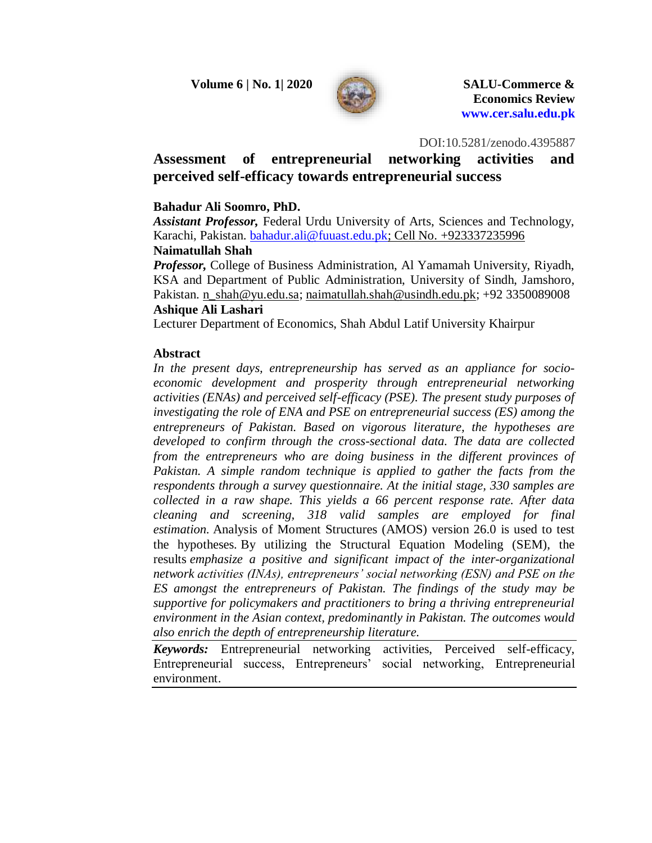

DOI:10.5281/zenodo.4395887

# **Assessment of entrepreneurial networking activities and perceived self-efficacy towards entrepreneurial success**

## **Bahadur Ali Soomro, PhD.**

*Assistant Professor,* Federal Urdu University of Arts, Sciences and Technology, Karachi, Pakistan. [bahadur.ali@fuuast.edu.pk;](mailto:bahadur.ali@fuuast.edu.pk) Cell No. +923337235996 **Naimatullah Shah**

*Professor,* College of Business Administration, Al Yamamah University, Riyadh, KSA and Department of Public Administration, University of Sindh, Jamshoro, Pakistan. [n\\_shah@yu.edu.sa;](mailto:n_shah@yu.edu.sa) [naimatullah.shah@usindh.edu.pk;](mailto:naimatullah.shah@usindh.edu.pk) +92 3350089008

### **Ashique Ali Lashari**

Lecturer Department of Economics, Shah Abdul Latif University Khairpur

### **Abstract**

*In the present days, entrepreneurship has served as an appliance for socioeconomic development and prosperity through entrepreneurial networking activities (ENAs) and perceived self-efficacy (PSE). The present study purposes of investigating the role of ENA and PSE on entrepreneurial success (ES) among the entrepreneurs of Pakistan. Based on vigorous literature, the hypotheses are developed to confirm through the cross-sectional data. The data are collected from the entrepreneurs who are doing business in the different provinces of Pakistan. A simple random technique is applied to gather the facts from the respondents through a survey questionnaire. At the initial stage, 330 samples are collected in a raw shape. This yields a 66 percent response rate. After data cleaning and screening, 318 valid samples are employed for final estimation.* Analysis of Moment Structures (AMOS) version 26.0 is used to test the hypotheses*.* By utilizing the Structural Equation Modeling (SEM), the results *emphasize a positive and significant impact of the inter-organizational network activities (INAs), entrepreneurs' social networking (ESN) and PSE on the ES amongst the entrepreneurs of Pakistan. The findings of the study may be supportive for policymakers and practitioners to bring a thriving entrepreneurial environment in the Asian context, predominantly in Pakistan. The outcomes would also enrich the depth of entrepreneurship literature.*

*Keywords:* Entrepreneurial networking activities, Perceived self-efficacy, Entrepreneurial success, Entrepreneurs' social networking, Entrepreneurial environment.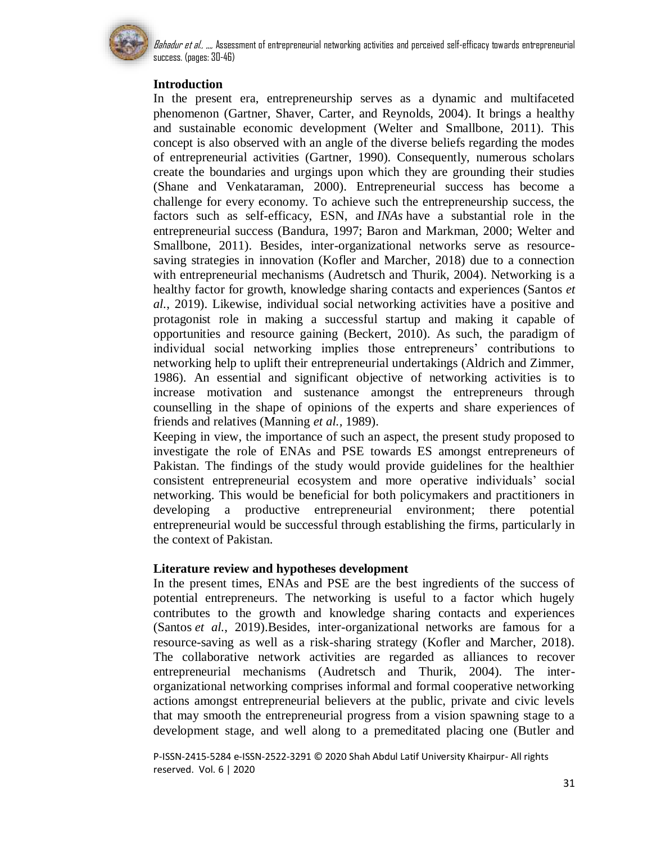

## **Introduction**

In the present era, entrepreneurship serves as a dynamic and multifaceted phenomenon (Gartner, Shaver, Carter, and Reynolds, 2004). It brings a healthy and sustainable economic development (Welter and Smallbone, 2011). This concept is also observed with an angle of the diverse beliefs regarding the modes of entrepreneurial activities (Gartner, 1990). Consequently, numerous scholars create the boundaries and urgings upon which they are grounding their studies (Shane and Venkataraman, 2000). Entrepreneurial success has become a challenge for every economy. To achieve such the entrepreneurship success, the factors such as self-efficacy, ESN, and *INAs* have a substantial role in the entrepreneurial success (Bandura, 1997; Baron and Markman, 2000; Welter and Smallbone, 2011). Besides, inter-organizational networks serve as resourcesaving strategies in innovation (Kofler and Marcher, 2018) due to a connection with entrepreneurial mechanisms (Audretsch and Thurik, 2004). Networking is a healthy factor for growth, knowledge sharing contacts and experiences (Santos *et al.*, 2019). Likewise, individual social networking activities have a positive and protagonist role in making a successful startup and making it capable of opportunities and resource gaining (Beckert, 2010). As such, the paradigm of individual social networking implies those entrepreneurs' contributions to networking help to uplift their entrepreneurial undertakings (Aldrich and Zimmer, 1986). An essential and significant objective of networking activities is to increase motivation and sustenance amongst the entrepreneurs through counselling in the shape of opinions of the experts and share experiences of friends and relatives (Manning *et al.,* 1989).

Keeping in view, the importance of such an aspect, the present study proposed to investigate the role of ENAs and PSE towards ES amongst entrepreneurs of Pakistan. The findings of the study would provide guidelines for the healthier consistent entrepreneurial ecosystem and more operative individuals' social networking. This would be beneficial for both policymakers and practitioners in developing a productive entrepreneurial environment; there potential entrepreneurial would be successful through establishing the firms, particularly in the context of Pakistan.

### **Literature review and hypotheses development**

In the present times, ENAs and PSE are the best ingredients of the success of potential entrepreneurs. The networking is useful to a factor which hugely contributes to the growth and knowledge sharing contacts and experiences (Santos *et al.*, 2019).Besides, inter-organizational networks are famous for a resource-saving as well as a risk-sharing strategy (Kofler and Marcher, 2018). The collaborative network activities are regarded as alliances to recover entrepreneurial mechanisms (Audretsch and Thurik, 2004). The interorganizational networking comprises informal and formal cooperative networking actions amongst entrepreneurial believers at the public, private and civic levels that may smooth the entrepreneurial progress from a vision spawning stage to a development stage, and well along to a premeditated placing one (Butler and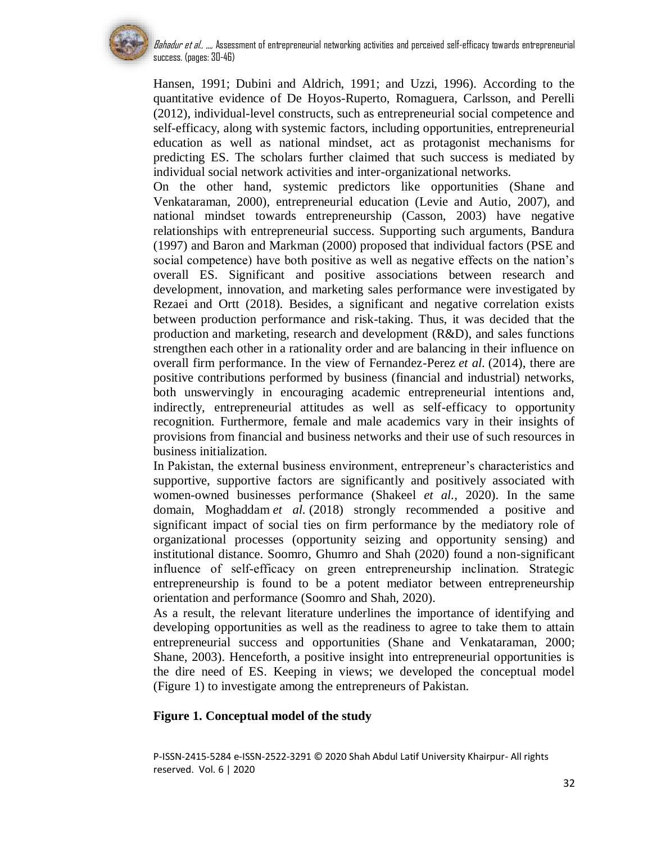

Hansen, 1991; Dubini and Aldrich, 1991; and Uzzi, 1996). According to the quantitative evidence of De Hoyos-Ruperto, Romaguera, Carlsson, and Perelli (2012), individual-level constructs, such as entrepreneurial social competence and self-efficacy, along with systemic factors, including opportunities, entrepreneurial education as well as national mindset, act as protagonist mechanisms for predicting ES. The scholars further claimed that such success is mediated by individual social network activities and inter-organizational networks.

On the other hand, systemic predictors like opportunities (Shane and Venkataraman, 2000), entrepreneurial education (Levie and Autio, 2007), and national mindset towards entrepreneurship (Casson, 2003) have negative relationships with entrepreneurial success. Supporting such arguments, Bandura (1997) and Baron and Markman (2000) proposed that individual factors (PSE and social competence) have both positive as well as negative effects on the nation's overall ES. Significant and positive associations between research and development, innovation, and marketing sales performance were investigated by Rezaei and Ortt (2018). Besides, a significant and negative correlation exists between production performance and risk-taking. Thus, it was decided that the production and marketing, research and development (R&D), and sales functions strengthen each other in a rationality order and are balancing in their influence on overall firm performance. In the view of Fernandez-Perez *et al.* (2014), there are positive contributions performed by business (financial and industrial) networks, both unswervingly in encouraging academic entrepreneurial intentions and, indirectly, entrepreneurial attitudes as well as self-efficacy to opportunity recognition. Furthermore, female and male academics vary in their insights of provisions from financial and business networks and their use of such resources in business initialization.

In Pakistan, the external business environment, entrepreneur's characteristics and supportive, supportive factors are significantly and positively associated with women-owned businesses performance (Shakeel *et al.,* 2020). In the same domain, Moghaddam *et al.* (2018) strongly recommended a positive and significant impact of social ties on firm performance by the mediatory role of organizational processes (opportunity seizing and opportunity sensing) and institutional distance. Soomro, Ghumro and Shah (2020) found a non-significant influence of self‐efficacy on green entrepreneurship inclination. Strategic entrepreneurship is found to be a potent mediator between entrepreneurship orientation and performance (Soomro and Shah, 2020).

As a result, the relevant literature underlines the importance of identifying and developing opportunities as well as the readiness to agree to take them to attain entrepreneurial success and opportunities (Shane and Venkataraman, 2000; Shane, 2003). Henceforth, a positive insight into entrepreneurial opportunities is the dire need of ES. Keeping in views; we developed the conceptual model (Figure 1) to investigate among the entrepreneurs of Pakistan.

## **Figure 1. Conceptual model of the study**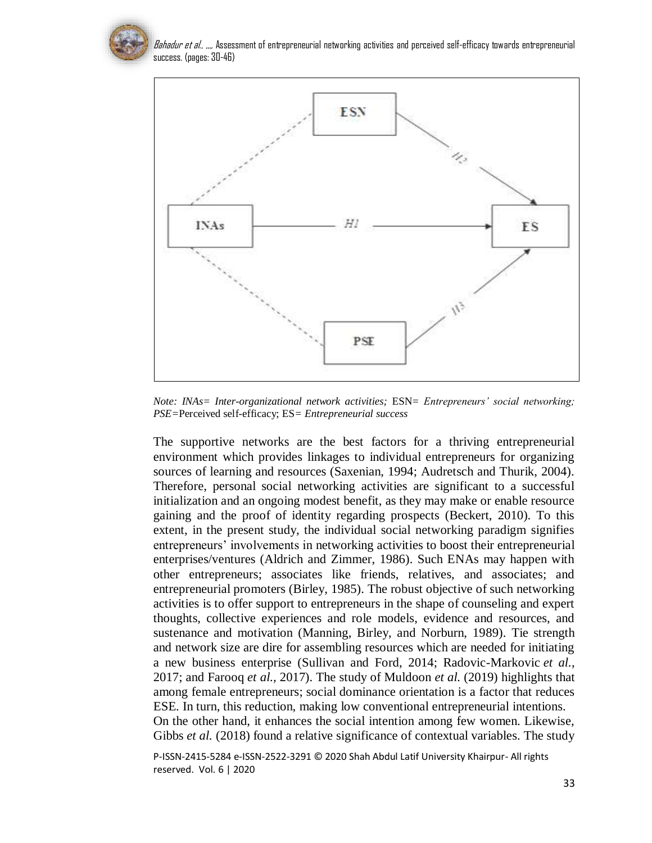

*Bahadur et al., ,,,,* Assessment of entrepreneurial networking activities and perceived self-efficacy towards entrepreneurial success. (pages: 30-46)



*Note: INAs= Inter-organizational network activities;* ESN*= Entrepreneurs' social networking; PSE=*Perceived self-efficacy; ES*= Entrepreneurial success*

The supportive networks are the best factors for a thriving entrepreneurial environment which provides linkages to individual entrepreneurs for organizing sources of learning and resources (Saxenian, 1994; Audretsch and Thurik, 2004). Therefore, personal social networking activities are significant to a successful initialization and an ongoing modest benefit, as they may make or enable resource gaining and the proof of identity regarding prospects (Beckert, 2010). To this extent, in the present study, the individual social networking paradigm signifies entrepreneurs' involvements in networking activities to boost their entrepreneurial enterprises/ventures (Aldrich and Zimmer, 1986). Such ENAs may happen with other entrepreneurs; associates like friends, relatives, and associates; and entrepreneurial promoters (Birley, 1985). The robust objective of such networking activities is to offer support to entrepreneurs in the shape of counseling and expert thoughts, collective experiences and role models, evidence and resources, and sustenance and motivation (Manning, Birley, and Norburn, 1989). Tie strength and network size are dire for assembling resources which are needed for initiating a new business enterprise (Sullivan and Ford, 2014; Radovic-Markovic *et al.*, 2017; and Farooq *et al.,* 2017). The study of Muldoon *et al.* (2019) highlights that among female entrepreneurs; social dominance orientation is a factor that reduces ESE. In turn, this reduction, making low conventional entrepreneurial intentions. On the other hand, it enhances the social intention among few women. Likewise, Gibbs *et al.* (2018) found a relative significance of contextual variables. The study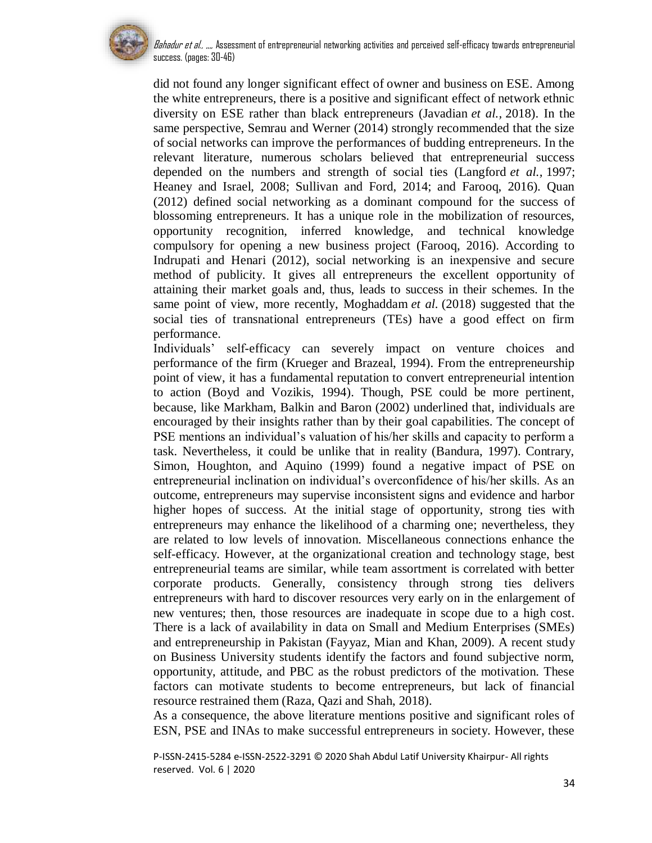

Bahadur et al., ,,,, Assessment of entrepreneurial networking activities and perceived self-efficacy towards entrepreneurial success. (pages: 30-46)

did not found any longer significant effect of owner and business on ESE. Among the white entrepreneurs, there is a positive and significant effect of network ethnic diversity on ESE rather than black entrepreneurs (Javadian *et al.,* 2018). In the same perspective, Semrau and Werner (2014) strongly recommended that the size of social networks can improve the performances of budding entrepreneurs. In the relevant literature, numerous scholars believed that entrepreneurial success depended on the numbers and strength of social ties (Langford *et al.,* 1997; Heaney and Israel, 2008; Sullivan and Ford, 2014; and Farooq, 2016). Quan (2012) defined social networking as a dominant compound for the success of blossoming entrepreneurs. It has a unique role in the mobilization of resources, opportunity recognition, inferred knowledge, and technical knowledge compulsory for opening a new business project (Farooq, 2016). According to Indrupati and Henari (2012), social networking is an inexpensive and secure method of publicity. It gives all entrepreneurs the excellent opportunity of attaining their market goals and, thus, leads to success in their schemes. In the same point of view, more recently, Moghaddam *et al.* (2018) suggested that the social ties of transnational entrepreneurs (TEs) have a good effect on firm performance.

Individuals' self-efficacy can severely impact on venture choices and performance of the firm (Krueger and Brazeal, 1994). From the entrepreneurship point of view, it has a fundamental reputation to convert entrepreneurial intention to action (Boyd and Vozikis, 1994). Though, PSE could be more pertinent, because, like Markham, Balkin and Baron (2002) underlined that, individuals are encouraged by their insights rather than by their goal capabilities. The concept of PSE mentions an individual's valuation of his/her skills and capacity to perform a task. Nevertheless, it could be unlike that in reality (Bandura, 1997). Contrary, Simon, Houghton, and Aquino (1999) found a negative impact of PSE on entrepreneurial inclination on individual's overconfidence of his/her skills. As an outcome, entrepreneurs may supervise inconsistent signs and evidence and harbor higher hopes of success. At the initial stage of opportunity, strong ties with entrepreneurs may enhance the likelihood of a charming one; nevertheless, they are related to low levels of innovation. Miscellaneous connections enhance the self-efficacy. However, at the organizational creation and technology stage, best entrepreneurial teams are similar, while team assortment is correlated with better corporate products. Generally, consistency through strong ties delivers entrepreneurs with hard to discover resources very early on in the enlargement of new ventures; then, those resources are inadequate in scope due to a high cost. There is a lack of availability in data on Small and Medium Enterprises (SMEs) and entrepreneurship in Pakistan (Fayyaz, Mian and Khan, 2009). A recent study on Business University students identify the factors and found subjective norm, opportunity, attitude, and PBC as the robust predictors of the motivation. These factors can motivate students to become entrepreneurs, but lack of financial resource restrained them (Raza, Qazi and Shah, 2018).

As a consequence, the above literature mentions positive and significant roles of ESN, PSE and INAs to make successful entrepreneurs in society. However, these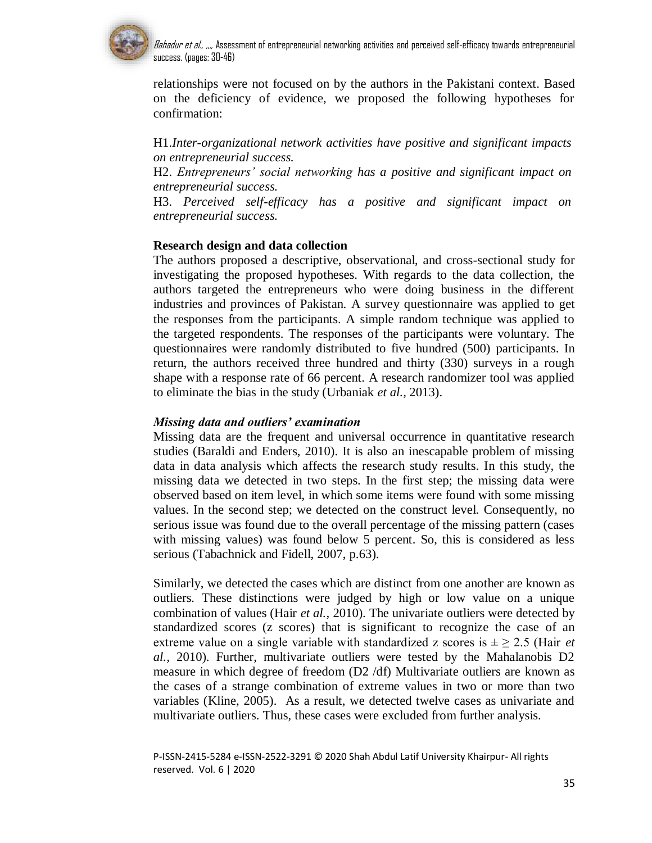

relationships were not focused on by the authors in the Pakistani context. Based on the deficiency of evidence, we proposed the following hypotheses for confirmation:

H1.*Inter-organizational network activities have positive and significant impacts on entrepreneurial success.*

H2. *Entrepreneurs' social networking has a positive and significant impact on entrepreneurial success.*

H3. *Perceived self-efficacy has a positive and significant impact on entrepreneurial success.*

### **Research design and data collection**

The authors proposed a descriptive, observational, and cross-sectional study for investigating the proposed hypotheses. With regards to the data collection, the authors targeted the entrepreneurs who were doing business in the different industries and provinces of Pakistan. A survey questionnaire was applied to get the responses from the participants. A simple random technique was applied to the targeted respondents. The responses of the participants were voluntary. The questionnaires were randomly distributed to five hundred (500) participants. In return, the authors received three hundred and thirty (330) surveys in a rough shape with a response rate of 66 percent. A research randomizer tool was applied to eliminate the bias in the study (Urbaniak *et al.,* 2013).

#### *Missing data and outliers' examination*

Missing data are the frequent and universal occurrence in quantitative research studies (Baraldi and Enders, 2010). It is also an inescapable problem of missing data in data analysis which affects the research study results. In this study, the missing data we detected in two steps. In the first step; the missing data were observed based on item level, in which some items were found with some missing values. In the second step; we detected on the construct level. Consequently, no serious issue was found due to the overall percentage of the missing pattern (cases with missing values) was found below 5 percent. So, this is considered as less serious (Tabachnick and Fidell, 2007, p.63).

Similarly, we detected the cases which are distinct from one another are known as outliers. These distinctions were judged by high or low value on a unique combination of values (Hair *et al.,* 2010). The univariate outliers were detected by standardized scores (z scores) that is significant to recognize the case of an extreme value on a single variable with standardized z scores is  $\pm \geq 2.5$  (Hair *et al.,* 2010). Further, multivariate outliers were tested by the Mahalanobis D2 measure in which degree of freedom (D2 /df) Multivariate outliers are known as the cases of a strange combination of extreme values in two or more than two variables (Kline, 2005). As a result, we detected twelve cases as univariate and multivariate outliers. Thus, these cases were excluded from further analysis.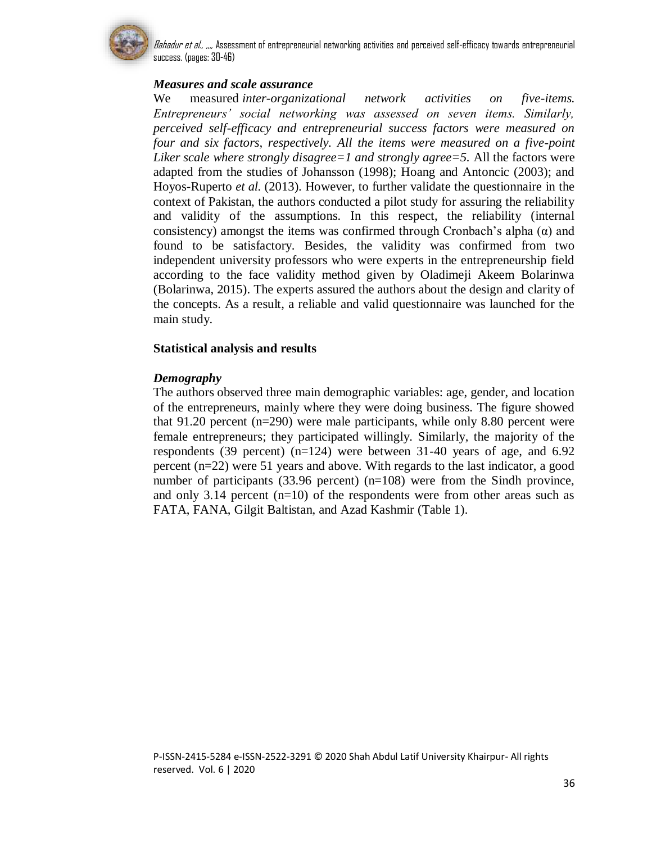

## *Measures and scale assurance*

We measured *inter-organizational network activities on five-items. Entrepreneurs' social networking was assessed on seven items. Similarly, perceived self-efficacy and entrepreneurial success factors were measured on four and six factors, respectively. All the items were measured on a five-point Liker scale where strongly disagree=1 and strongly agree=5.* All the factors were adapted from the studies of Johansson (1998); Hoang and Antoncic (2003); and Hoyos-Ruperto *et al.* (2013). However, to further validate the questionnaire in the context of Pakistan, the authors conducted a pilot study for assuring the reliability and validity of the assumptions. In this respect, the reliability (internal consistency) amongst the items was confirmed through Cronbach's alpha  $(\alpha)$  and found to be satisfactory. Besides, the validity was confirmed from two independent university professors who were experts in the entrepreneurship field according to the face validity method given by Oladimeji Akeem Bolarinwa (Bolarinwa, 2015). The experts assured the authors about the design and clarity of the concepts. As a result, a reliable and valid questionnaire was launched for the main study.

### **Statistical analysis and results**

### *Demography*

The authors observed three main demographic variables: age, gender, and location of the entrepreneurs, mainly where they were doing business. The figure showed that 91.20 percent (n=290) were male participants, while only 8.80 percent were female entrepreneurs; they participated willingly. Similarly, the majority of the respondents (39 percent) (n=124) were between 31-40 years of age, and 6.92 percent (n=22) were 51 years and above. With regards to the last indicator, a good number of participants (33.96 percent) (n=108) were from the Sindh province, and only 3.14 percent  $(n=10)$  of the respondents were from other areas such as FATA, FANA, Gilgit Baltistan, and Azad Kashmir (Table 1).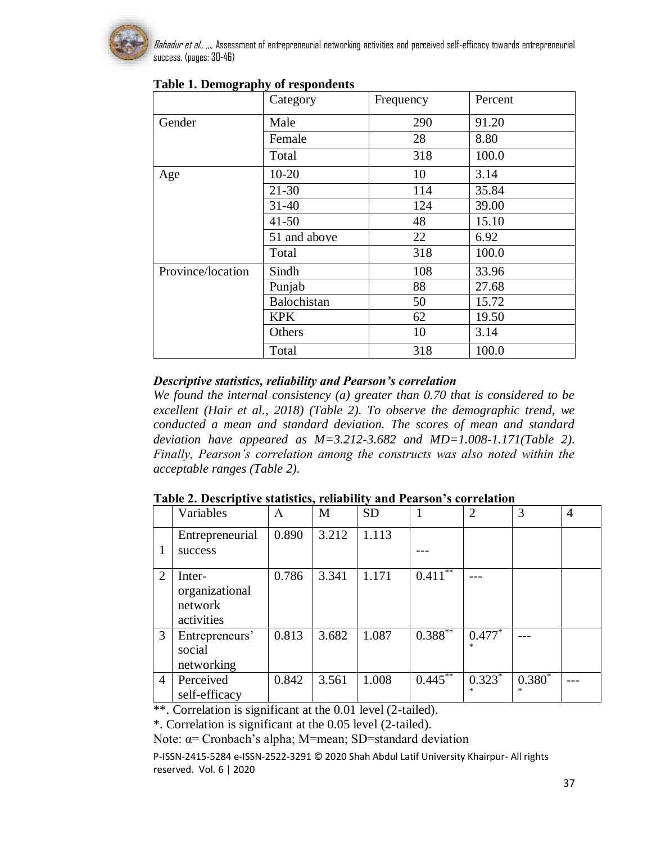

|                   | Category     | Frequency | Percent |  |
|-------------------|--------------|-----------|---------|--|
| Gender            | Male         | 290       | 91.20   |  |
|                   | Female       | 28        | 8.80    |  |
|                   | Total        | 318       | 100.0   |  |
| Age               | $10-20$      | 10        | 3.14    |  |
|                   | $21 - 30$    | 114       | 35.84   |  |
|                   | $31 - 40$    | 124       | 39.00   |  |
|                   | $41 - 50$    | 48        | 15.10   |  |
|                   | 51 and above | 22        | 6.92    |  |
|                   | Total        | 318       | 100.0   |  |
| Province/location | Sindh        | 108       | 33.96   |  |
|                   | Punjab       | 88        | 27.68   |  |
|                   | Balochistan  | 50        | 15.72   |  |
|                   | <b>KPK</b>   | 62        | 19.50   |  |
|                   | Others       | 10        | 3.14    |  |
|                   | Total        | 318       | 100.0   |  |

## **Table 1. Demography of respondents**

## *Descriptive statistics, reliability and Pearson's correlation*

*We found the internal consistency (a) greater than 0.70 that is considered to be excellent (Hair et al., 2018) (Table 2). To observe the demographic trend, we conducted a mean and standard deviation. The scores of mean and standard deviation have appeared as M=3.212-3.682 and MD=1.008-1.171(Table 2). Finally, Pearson's correlation among the constructs was also noted within the acceptable ranges (Table 2).*

| Table 2. Descriptive statistics, reliability and Pearson's correlation |  |  |
|------------------------------------------------------------------------|--|--|
|------------------------------------------------------------------------|--|--|

|                | Variables                                         | A     | M     | <b>SD</b> |                         | $\overline{2}$     | 3             | $\overline{4}$ |
|----------------|---------------------------------------------------|-------|-------|-----------|-------------------------|--------------------|---------------|----------------|
|                | Entrepreneurial                                   | 0.890 | 3.212 | 1.113     |                         |                    |               |                |
|                | success                                           |       |       |           |                         |                    |               |                |
| 2              | Inter-<br>organizational<br>network<br>activities | 0.786 | 3.341 | 1.171     | $0.41\overline{1^{**}}$ |                    |               |                |
| 3              | Entrepreneurs'<br>social<br>networking            | 0.813 | 3.682 | 1.087     | $0.388***$              | $0.477*$           |               |                |
| $\overline{4}$ | Perceived<br>self-efficacy                        | 0.842 | 3.561 | 1.008     | $0.445***$              | $0.323*$<br>$\ast$ | $0.380*$<br>索 |                |

\*\*. Correlation is significant at the 0.01 level (2-tailed).

\*. Correlation is significant at the 0.05 level (2-tailed).

Note: α= Cronbach's alpha; M=mean; SD=standard deviation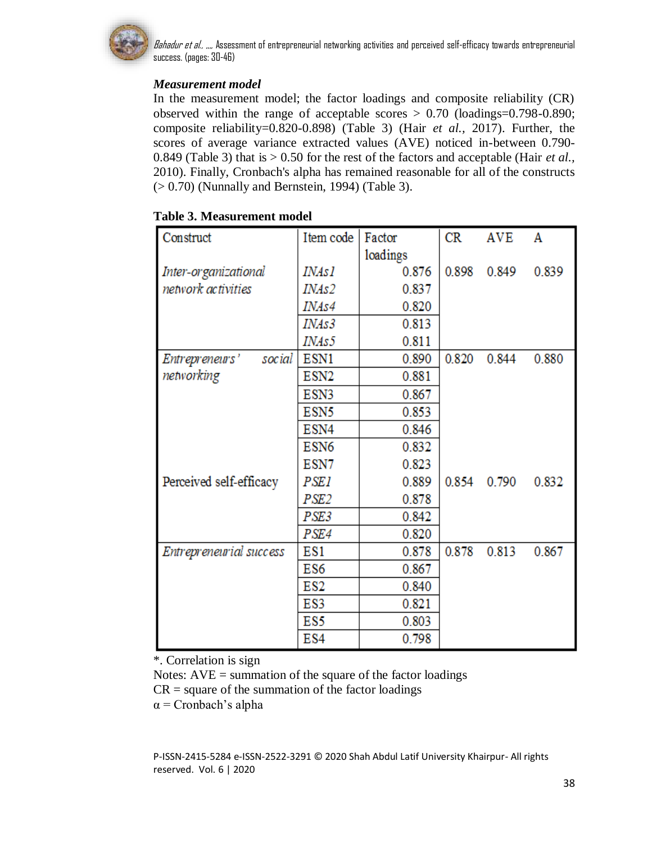

## *Measurement model*

In the measurement model; the factor loadings and composite reliability (CR) observed within the range of acceptable scores > 0.70 (loadings=0.798-0.890; composite reliability=0.820-0.898) (Table 3) (Hair *et al.,* 2017). Further, the scores of average variance extracted values (AVE) noticed in-between 0.790- 0.849 (Table 3) that is > 0.50 for the rest of the factors and acceptable (Hair *et al.,* 2010). Finally, Cronbach's alpha has remained reasonable for all of the constructs (> 0.70) (Nunnally and Bernstein, 1994) (Table 3).

| Construct                | Item code        | Factor   | CR    | <b>AVE</b> | A     |
|--------------------------|------------------|----------|-------|------------|-------|
|                          |                  | loadings |       |            |       |
| Inter-organizational     | INAs l           | 0.876    | 0.898 | 0.849      | 0.839 |
| network activities       | INAs2            | 0.837    |       |            |       |
|                          | INAs4            | 0.820    |       |            |       |
|                          | <i>INAs3</i>     | 0.813    |       |            |       |
|                          | INAs5            | 0.811    |       |            |       |
| Entrepreneurs'<br>social | ESN1             | 0.890    | 0.820 | 0.844      | 0.880 |
| networking               | ESN <sub>2</sub> | 0.881    |       |            |       |
|                          | ESN3             | 0.867    |       |            |       |
|                          | ESN <sub>5</sub> | 0.853    |       |            |       |
|                          | ESN4             | 0.846    |       |            |       |
|                          | ESN <sub>6</sub> | 0.832    |       |            |       |
|                          | ESN7             | 0.823    |       |            |       |
| Perceived self-efficacy  | <b>PSE1</b>      | 0.889    | 0.854 | 0.790      | 0.832 |
|                          | PSE <sub>2</sub> | 0.878    |       |            |       |
|                          | PSE3             | 0.842    |       |            |       |
|                          | PSE4             | 0.820    |       |            |       |
| Entrepreneurial success  | ES1              | 0.878    | 0.878 | 0.813      | 0.867 |
|                          | ES6              | 0.867    |       |            |       |
|                          | ES2              | 0.840    |       |            |       |
|                          | ES3              | 0.821    |       |            |       |
|                          | ES5              | 0.803    |       |            |       |
|                          | ES4              | 0.798    |       |            |       |

## **Table 3. Measurement model**

\*. Correlation is sign

Notes: AVE = summation of the square of the factor loadings

 $CR = square of the summation of the factor loadings$ 

 $\alpha$  = Cronbach's alpha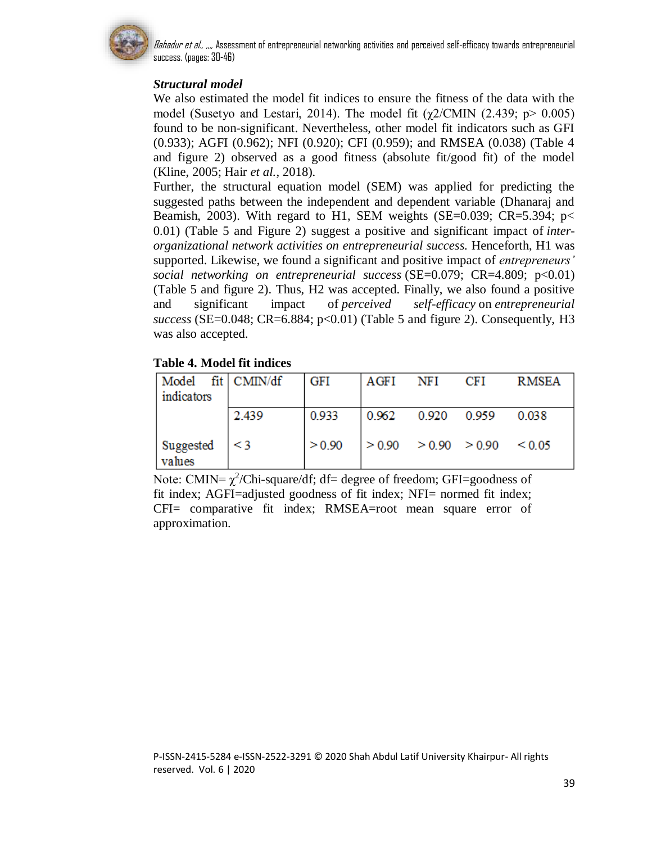

# *Structural model*

We also estimated the model fit indices to ensure the fitness of the data with the model (Susetyo and Lestari, 2014). The model fit  $(\chi2/CMIN$  (2.439; p> 0.005) found to be non-significant. Nevertheless, other model fit indicators such as GFI (0.933); AGFI (0.962); NFI (0.920); CFI (0.959); and RMSEA (0.038) (Table 4 and figure 2) observed as a good fitness (absolute fit/good fit) of the model (Kline, 2005; Hair *et al.,* 2018).

Further, the structural equation model (SEM) was applied for predicting the suggested paths between the independent and dependent variable (Dhanaraj and Beamish, 2003). With regard to H1, SEM weights (SE=0.039; CR=5.394;  $p$ < 0.01) (Table 5 and Figure 2) suggest a positive and significant impact of *interorganizational network activities on entrepreneurial success.* Henceforth, H1 was supported. Likewise, we found a significant and positive impact of *entrepreneurs' social networking on entrepreneurial success* (SE=0.079; CR=4.809; p<0.01) (Table 5 and figure 2). Thus, H2 was accepted. Finally, we also found a positive and significant impact of *perceived self-efficacy* on *entrepreneurial success* (SE=0.048; CR=6.884; p<0.01) (Table 5 and figure 2). Consequently, H3 was also accepted.

## **Table 4. Model fit indices**

| Model fit CMIN/df<br>indicators |          | <b>GFI</b> | AGFI                       | NFI   | CFI   | <b>RMSEA</b> |
|---------------------------------|----------|------------|----------------------------|-------|-------|--------------|
|                                 | 2.439    | 0.933      | 0.962                      | 0.920 | 0.959 | 0.038        |
| Suggested<br>values             | $\leq$ 3 | > 0.90     | $> 0.90$ $> 0.90$ $> 0.90$ |       |       | ${}_{0.05}$  |

Note: CMIN=  $\chi^2$ /Chi-square/df; df= degree of freedom; GFI=goodness of fit index; AGFI=adjusted goodness of fit index; NFI= normed fit index; CFI= comparative fit index; RMSEA=root mean square error of approximation.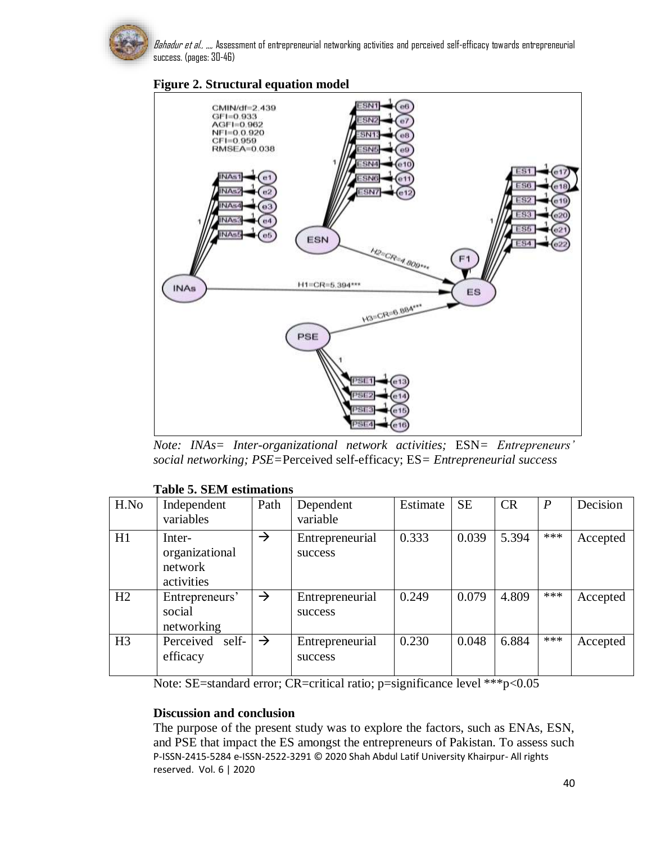

## **Figure 2. Structural equation model**

*Note: INAs= Inter-organizational network activities;* ESN*= Entrepreneurs' social networking; PSE=*Perceived self-efficacy; ES*= Entrepreneurial success*

### **Table 5. SEM estimations**

| H.No           | Independent<br>variables                          | Path          | Dependent<br>variable      | Estimate | <b>SE</b> | <b>CR</b> | $\boldsymbol{P}$ | Decision |
|----------------|---------------------------------------------------|---------------|----------------------------|----------|-----------|-----------|------------------|----------|
| H1             | Inter-<br>organizational<br>network<br>activities | $\rightarrow$ | Entrepreneurial<br>success | 0.333    | 0.039     | 5.394     | ***              | Accepted |
| H2             | Entrepreneurs'<br>social<br>networking            | $\rightarrow$ | Entrepreneurial<br>success | 0.249    | 0.079     | 4.809     | ***              | Accepted |
| H <sub>3</sub> | self-<br>Perceived<br>efficacy                    | $\rightarrow$ | Entrepreneurial<br>success | 0.230    | 0.048     | 6.884     | ***              | Accepted |

Note: SE=standard error; CR=critical ratio; p=significance level \*\*\*p<0.05

## **Discussion and conclusion**

P-ISSN-2415-5284 e-ISSN-2522-3291 © 2020 Shah Abdul Latif University Khairpur- All rights reserved. Vol. 6 | 2020 The purpose of the present study was to explore the factors, such as ENAs, ESN, and PSE that impact the ES amongst the entrepreneurs of Pakistan. To assess such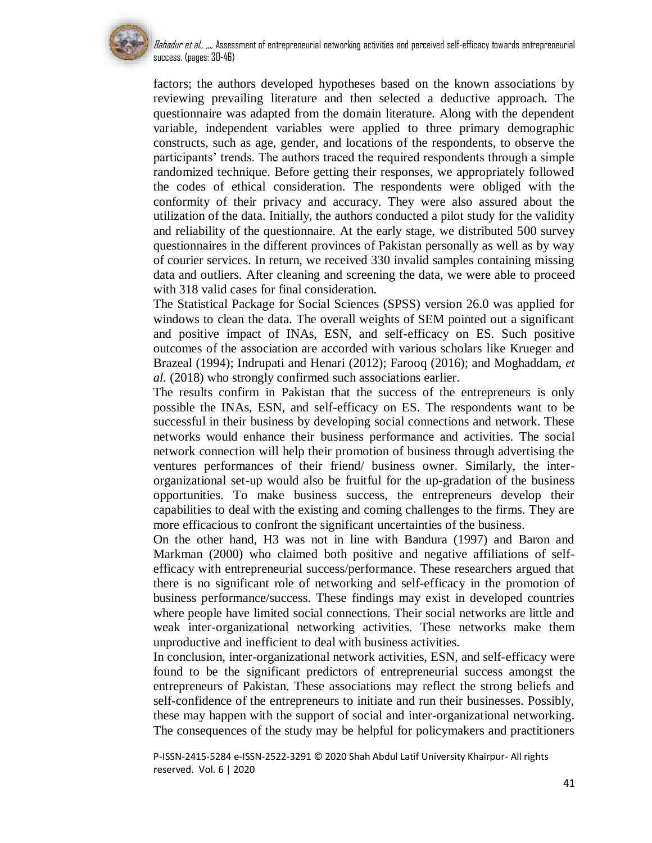

factors; the authors developed hypotheses based on the known associations by reviewing prevailing literature and then selected a deductive approach. The questionnaire was adapted from the domain literature. Along with the dependent variable, independent variables were applied to three primary demographic constructs, such as age, gender, and locations of the respondents, to observe the participants' trends. The authors traced the required respondents through a simple randomized technique. Before getting their responses, we appropriately followed the codes of ethical consideration. The respondents were obliged with the conformity of their privacy and accuracy. They were also assured about the utilization of the data. Initially, the authors conducted a pilot study for the validity and reliability of the questionnaire. At the early stage, we distributed 500 survey questionnaires in the different provinces of Pakistan personally as well as by way of courier services. In return, we received 330 invalid samples containing missing data and outliers. After cleaning and screening the data, we were able to proceed with 318 valid cases for final consideration.

The Statistical Package for Social Sciences (SPSS) version 26.0 was applied for windows to clean the data. The overall weights of SEM pointed out a significant and positive impact of INAs, ESN, and self-efficacy on ES. Such positive outcomes of the association are accorded with various scholars like Krueger and Brazeal (1994); Indrupati and Henari (2012); Farooq (2016); and Moghaddam, *et al.* (2018) who strongly confirmed such associations earlier.

The results confirm in Pakistan that the success of the entrepreneurs is only possible the INAs, ESN, and self-efficacy on ES. The respondents want to be successful in their business by developing social connections and network. These networks would enhance their business performance and activities. The social network connection will help their promotion of business through advertising the ventures performances of their friend/ business owner. Similarly, the interorganizational set-up would also be fruitful for the up-gradation of the business opportunities. To make business success, the entrepreneurs develop their capabilities to deal with the existing and coming challenges to the firms. They are more efficacious to confront the significant uncertainties of the business.

On the other hand, H3 was not in line with Bandura (1997) and Baron and Markman (2000) who claimed both positive and negative affiliations of selfefficacy with entrepreneurial success/performance. These researchers argued that there is no significant role of networking and self-efficacy in the promotion of business performance/success. These findings may exist in developed countries where people have limited social connections. Their social networks are little and weak inter-organizational networking activities. These networks make them unproductive and inefficient to deal with business activities.

In conclusion, inter-organizational network activities, ESN, and self-efficacy were found to be the significant predictors of entrepreneurial success amongst the entrepreneurs of Pakistan. These associations may reflect the strong beliefs and self-confidence of the entrepreneurs to initiate and run their businesses. Possibly, these may happen with the support of social and inter-organizational networking. The consequences of the study may be helpful for policymakers and practitioners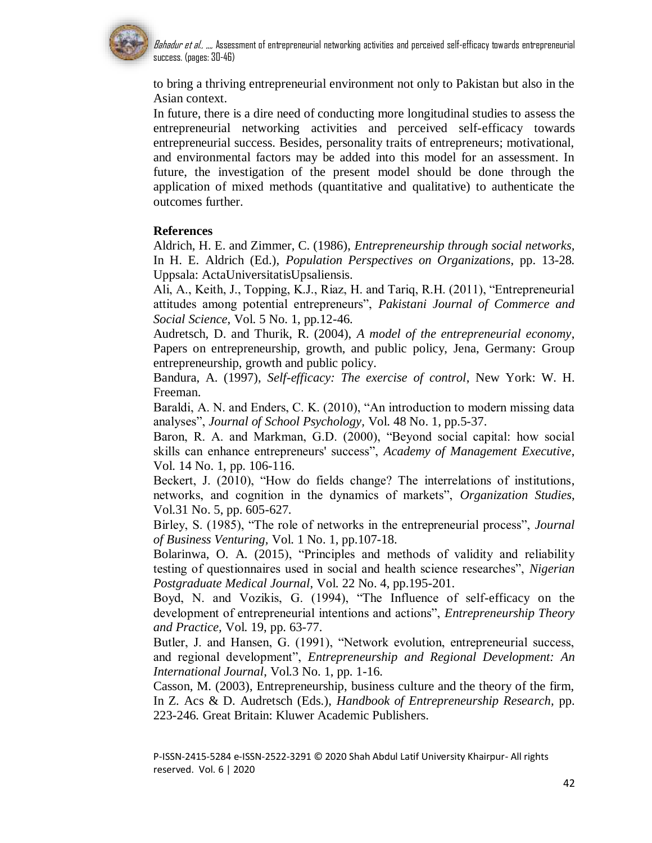

to bring a thriving entrepreneurial environment not only to Pakistan but also in the Asian context.

In future, there is a dire need of conducting more longitudinal studies to assess the entrepreneurial networking activities and perceived self-efficacy towards entrepreneurial success. Besides, personality traits of entrepreneurs; motivational, and environmental factors may be added into this model for an assessment. In future, the investigation of the present model should be done through the application of mixed methods (quantitative and qualitative) to authenticate the outcomes further.

### **References**

Aldrich, H. E. and Zimmer, C. (1986), *Entrepreneurship through social networks,* In H. E. Aldrich (Ed.), *Population Perspectives on Organizations*, pp. 13-28*.*  Uppsala: ActaUniversitatisUpsaliensis.

Ali, A., Keith, J., Topping, K.J., Riaz, H. and Tariq, R.H. (2011), "Entrepreneurial attitudes among potential entrepreneurs", *Pakistani Journal of Commerce and Social Science*, Vol. 5 No. 1, pp.12-46.

Audretsch, D. and Thurik, R. (2004), *A model of the entrepreneurial economy*, Papers on entrepreneurship, growth, and public policy, Jena, Germany: Group entrepreneurship, growth and public policy.

Bandura, A. (1997), *Self-efficacy: The exercise of control*, New York: W. H. Freeman.

Baraldi, A. N. and Enders, C. K. (2010), "An introduction to modern missing data analyses", *Journal of School Psychology,* Vol. 48 No. 1, pp.5-37.

Baron, R. A. and Markman, G.D. (2000), "Beyond social capital: how social skills can enhance entrepreneurs' success", *Academy of Management Executive*, Vol. 14 No. 1, pp. 106-116.

Beckert, J. (2010), "How do fields change? The interrelations of institutions, networks, and cognition in the dynamics of markets", *Organization Studies*, Vol.31 No. 5, pp. 605-627.

Birley, S. (1985), "The role of networks in the entrepreneurial process", *Journal of Business Venturing,* Vol. 1 No. 1, pp.107-18.

Bolarinwa, O. A. (2015), "Principles and methods of validity and reliability testing of questionnaires used in social and health science researches", *Nigerian Postgraduate Medical Journal*, Vol. 22 No. 4, pp.195-201.

Boyd, N. and Vozikis, G. (1994), "The Influence of self-efficacy on the development of entrepreneurial intentions and actions", *Entrepreneurship Theory and Practice,* Vol. 19, pp. 63-77.

Butler, J. and Hansen, G. (1991), "Network evolution, entrepreneurial success, and regional development", *Entrepreneurship and Regional Development: An International Journal*, Vol.3 No. 1, pp. 1-16.

Casson, M. (2003), Entrepreneurship, business culture and the theory of the firm, In Z. Acs & D. Audretsch (Eds.), *Handbook of Entrepreneurship Research,* pp. 223-246*.* Great Britain: Kluwer Academic Publishers.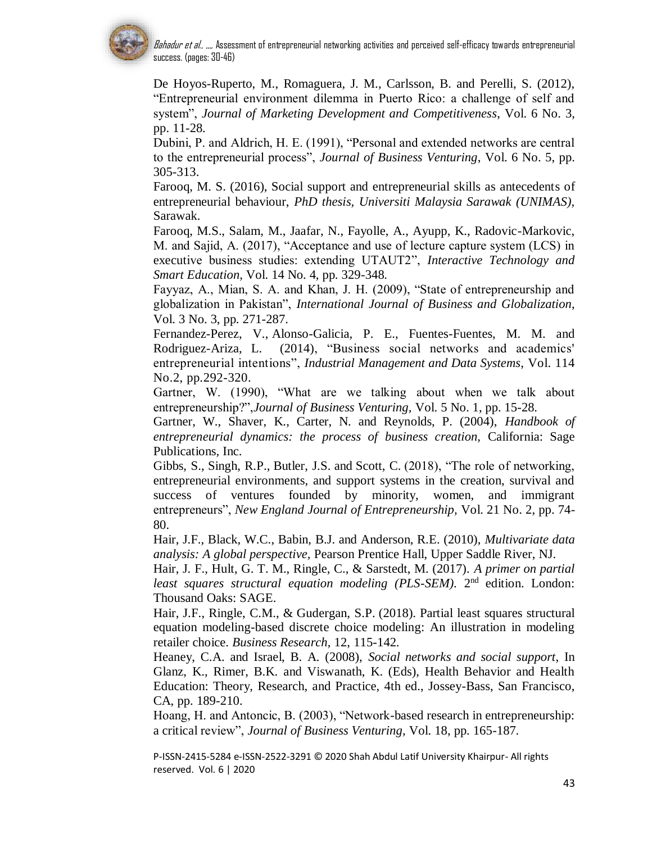

De Hoyos-Ruperto, M., Romaguera, J. M., Carlsson, B. and Perelli, S. (2012), "Entrepreneurial environment dilemma in Puerto Rico: a challenge of self and system", *Journal of Marketing Development and Competitiveness*, Vol. 6 No. 3, pp. 11-28.

Dubini, P. and Aldrich, H. E. (1991), "Personal and extended networks are central to the entrepreneurial process", *Journal of Business Venturing*, Vol. 6 No. 5, pp. 305-313.

Farooq, M. S. (2016), Social support and entrepreneurial skills as antecedents of entrepreneurial behaviour, *PhD thesis, Universiti Malaysia Sarawak (UNIMAS),* Sarawak.

Farooq, M.S., Salam, M., Jaafar, N., Fayolle, A., Ayupp, K., Radovic-Markovic, M. and Sajid, A. (2017), "Acceptance and use of lecture capture system (LCS) in executive business studies: extending UTAUT2", *Interactive Technology and Smart Education,* Vol. 14 No. 4, pp. 329-348.

Fayyaz, A., Mian, S. A. and Khan, J. H. (2009), "State of entrepreneurship and globalization in Pakistan", *International Journal of Business and Globalization*, Vol. 3 No. 3, pp. 271-287.

Fernandez-Perez, V., Alonso-Galicia, P. E., Fuentes-Fuentes, M. M. and Rodriguez-Ariza, L. (2014), "Business social networks and academics' entrepreneurial intentions", *Industrial Management and Data Systems*, Vol. 114 No.2, pp.292-320.

Gartner, W. (1990), "What are we talking about when we talk about entrepreneurship?",*Journal of Business Venturing,* Vol. 5 No. 1, pp. 15-28.

Gartner, W., Shaver, K., Carter, N. and Reynolds, P. (2004), *Handbook of entrepreneurial dynamics: the process of business creation,* California: Sage Publications, Inc.

Gibbs, S., Singh, R.P., Butler, J.S. and Scott, C. (2018), "The role of networking, entrepreneurial environments, and support systems in the creation, survival and success of ventures founded by minority, women, and immigrant entrepreneurs", *New England Journal of Entrepreneurship,* Vol. 21 No. 2, pp. 74- 80.

Hair, J.F., Black, W.C., Babin, B.J. and Anderson, R.E. (2010), *Multivariate data analysis: A global perspective,* Pearson Prentice Hall, Upper Saddle River, NJ.

Hair, J. F., Hult, G. T. M., Ringle, C., & Sarstedt, M. (2017). *A primer on partial*  least squares structural equation modeling (PLS-SEM). 2<sup>nd</sup> edition. London: Thousand Oaks: SAGE.

Hair, J.F., Ringle, C.M., & Gudergan, S.P. (2018). Partial least squares structural equation modeling-based discrete choice modeling: An illustration in modeling retailer choice. *Business Research*, 12, 115-142.

Heaney, C.A. and Israel, B. A. (2008), *Social networks and social support*, In Glanz, K., Rimer, B.K. and Viswanath, K. (Eds), Health Behavior and Health Education: Theory, Research, and Practice, 4th ed., Jossey-Bass, San Francisco, CA, pp. 189-210.

Hoang, H. and Antoncic, B. (2003), "Network-based research in entrepreneurship: a critical review", *Journal of Business Venturing*, Vol. 18, pp. 165-187.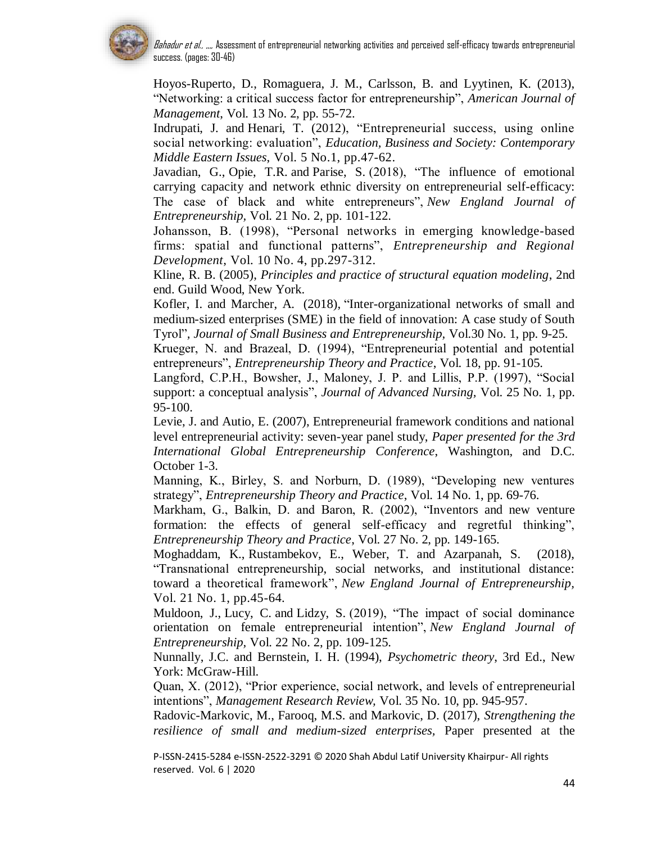

Hoyos-Ruperto, D., Romaguera, J. M., Carlsson, B. and Lyytinen, K. (2013), "Networking: a critical success factor for entrepreneurship", *American Journal of Management*, Vol. 13 No. 2, pp. 55-72.

Indrupati, J. and Henari, T. (2012), "Entrepreneurial success, using online social networking: evaluation", *Education, Business and Society: Contemporary Middle Eastern Issues*, Vol. 5 No.1, pp.47-62.

Javadian, G., Opie, T.R. and Parise, S. (2018), "The influence of emotional carrying capacity and network ethnic diversity on entrepreneurial self-efficacy: The case of black and white entrepreneurs", *New England Journal of Entrepreneurship,* Vol. 21 No. 2, pp. 101-122.

Johansson, B. (1998), "Personal networks in emerging knowledge-based firms: spatial and functional patterns", *Entrepreneurship and Regional Development*, Vol. 10 No. 4, pp.297-312.

Kline, R. B. (2005), *Principles and practice of structural equation modeling*, 2nd end. Guild Wood, New York.

Kofler, I. and Marcher, A. (2018), "Inter-organizational networks of small and medium-sized enterprises (SME) in the field of innovation: A case study of South Tyrol"*, Journal of Small Business and Entrepreneurship,* Vol.30 No. 1, pp. 9-25.

Krueger, N. and Brazeal, D. (1994), "Entrepreneurial potential and potential entrepreneurs", *Entrepreneurship Theory and Practice*, Vol. 18, pp. 91-105.

Langford, C.P.H., Bowsher, J., Maloney, J. P. and Lillis, P.P. (1997), "Social support: a conceptual analysis", *Journal of Advanced Nursing,* Vol. 25 No. 1, pp. 95-100.

Levie, J. and Autio, E. (2007), Entrepreneurial framework conditions and national level entrepreneurial activity: seven-year panel study, *Paper presented for the 3rd International Global Entrepreneurship Conference*, Washington, and D.C. October 1-3.

Manning, K., Birley, S. and Norburn, D. (1989), "Developing new ventures strategy", *Entrepreneurship Theory and Practice*, Vol. 14 No. 1, pp. 69-76.

Markham, G., Balkin, D. and Baron, R. (2002), "Inventors and new venture formation: the effects of general self-efficacy and regretful thinking", *Entrepreneurship Theory and Practice*, Vol. 27 No. 2, pp. 149-165.

Moghaddam, K., Rustambekov, E., Weber, T. and Azarpanah, S. (2018), "Transnational entrepreneurship, social networks, and institutional distance: toward a theoretical framework", *New England Journal of Entrepreneurship,* Vol. 21 No. 1, pp.45-64.

Muldoon, J., Lucy, C. and Lidzy, S. (2019), "The impact of social dominance orientation on female entrepreneurial intention", *New England Journal of Entrepreneurship,* Vol. 22 No. 2, pp. 109-125.

Nunnally, J.C. and Bernstein, I. H. (1994), *Psychometric theory*, 3rd Ed., New York: McGraw-Hill.

Quan, X. (2012), "Prior experience, social network, and levels of entrepreneurial intentions", *Management Research Review,* Vol. 35 No. 10, pp. 945-957.

Radovic-Markovic, M., Farooq, M.S. and Markovic, D. (2017), *Strengthening the resilience of small and medium-sized enterprises,* Paper presented at the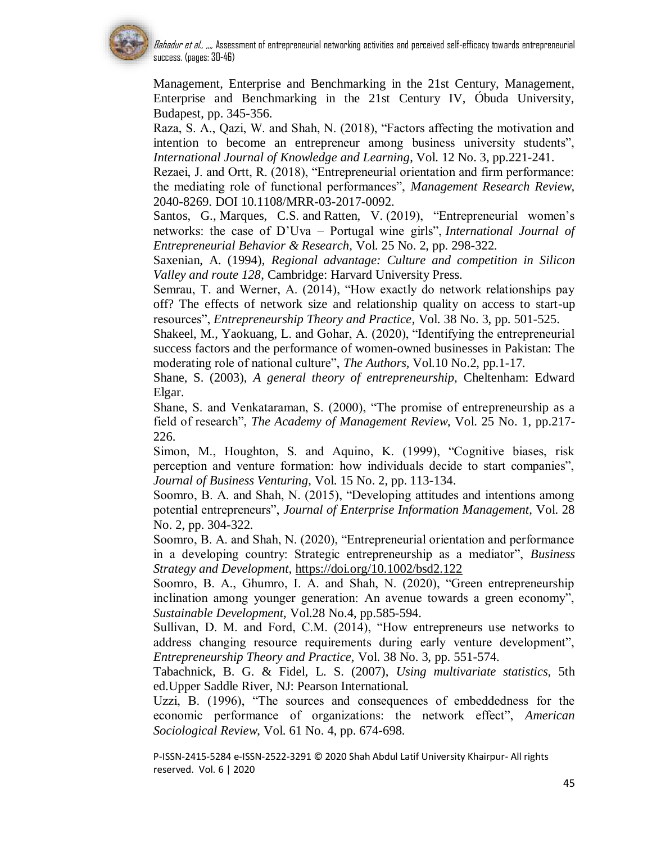

Management, Enterprise and Benchmarking in the 21st Century, Management, Enterprise and Benchmarking in the 21st Century IV, Óbuda University, Budapest, pp. 345-356.

Raza, S. A., Qazi, W. and Shah, N. (2018), "Factors affecting the motivation and intention to become an entrepreneur among business university students", *International Journal of Knowledge and Learning*, Vol. 12 No. 3, pp.221-241.

Rezaei, J. and Ortt, R. (2018), "Entrepreneurial orientation and firm performance: the mediating role of functional performances", *Management Research Review,* 2040-8269. DOI 10.1108/MRR-03-2017-0092.

Santos, G., Marques, C.S. and Ratten, V. (2019), "Entrepreneurial women's networks: the case of D'Uva – Portugal wine girls", *International Journal of Entrepreneurial Behavior & Research,* Vol. 25 No. 2, pp. 298-322.

Saxenian, A. (1994), *Regional advantage: Culture and competition in Silicon Valley and route 128*, Cambridge: Harvard University Press.

Semrau, T. and Werner, A. (2014), "How exactly do network relationships pay off? The effects of network size and relationship quality on access to start-up resources", *Entrepreneurship Theory and Practice*, Vol. 38 No. 3, pp. 501-525.

Shakeel, M., Yaokuang, L. and Gohar, A. (2020), "Identifying the entrepreneurial success factors and the performance of women-owned businesses in Pakistan: The moderating role of national culture", *The Authors,* Vol.10 No.2, pp.1-17.

Shane, S. (2003), *A general theory of entrepreneurship,* Cheltenham: Edward Elgar.

Shane, S. and Venkataraman, S. (2000), "The promise of entrepreneurship as a field of research", *The Academy of Management Review*, Vol. 25 No. 1, pp.217- 226.

Simon, M., Houghton, S. and Aquino, K. (1999), "Cognitive biases, risk perception and venture formation: how individuals decide to start companies", *Journal of Business Venturing*, Vol. 15 No. 2, pp. 113-134.

Soomro, B. A. and Shah, N. (2015), "Developing attitudes and intentions among potential entrepreneurs", *Journal of Enterprise Information Management,* Vol. 28 No. 2, pp. 304-322.

Soomro, B. A. and Shah, N. (2020), "Entrepreneurial orientation and performance in a developing country: Strategic entrepreneurship as a mediator", *Business Strategy and Development,* <https://doi.org/10.1002/bsd2.122>

Soomro, B. A., Ghumro, I. A. and Shah, N. (2020), "Green entrepreneurship inclination among younger generation: An avenue towards a green economy", *Sustainable Development,* Vol.28 No.4, pp.585-594.

Sullivan, D. M. and Ford, C.M. (2014), "How entrepreneurs use networks to address changing resource requirements during early venture development", *Entrepreneurship Theory and Practice,* Vol. 38 No. 3, pp. 551-574.

Tabachnick, B. G. & Fidel, L. S. (2007), *Using multivariate statistics,* 5th ed.Upper Saddle River, NJ: Pearson International.

Uzzi, B. (1996), "The sources and consequences of embeddedness for the economic performance of organizations: the network effect", *American Sociological Review*, Vol. 61 No. 4, pp. 674-698.